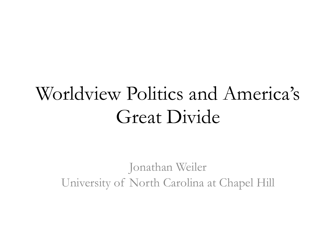# Worldview Politics and America's Great Divide

Jonathan Weiler University of North Carolina at Chapel Hill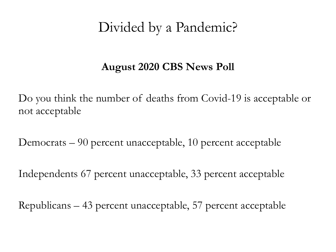### Divided by a Pandemic?

#### **August 2020 CBS News Poll**

Do you think the number of deaths from Covid-19 is acceptable or not acceptable

Democrats – 90 percent unacceptable, 10 percent acceptable

Independents 67 percent unacceptable, 33 percent acceptable

Republicans – 43 percent unacceptable, 57 percent acceptable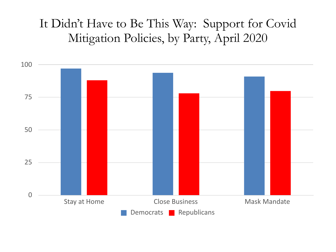#### It Didn't Have to Be This Way: Support for Covid Mitigation Policies, by Party, April 2020

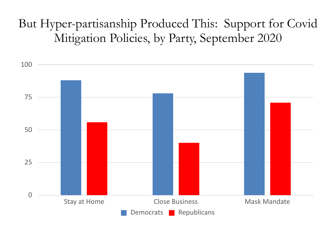#### But Hyper-partisanship Produced This: Support for Covid Mitigation Policies, by Party, September 2020

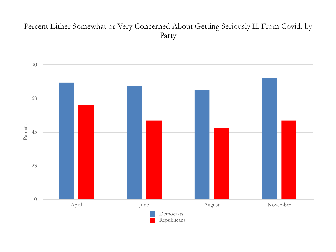#### Percent Either Somewhat or Very Concerned About Getting Seriously Ill From Covid, by Party

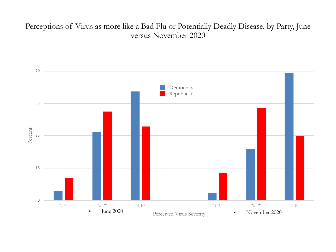#### Perceptions of Virus as more like a Bad Flu or Potentially Deadly Disease, by Party, June versus November 2020

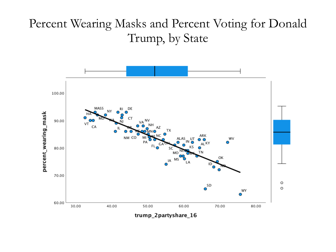#### Percent Wearing Masks and Percent Voting for Donald Trump, by State

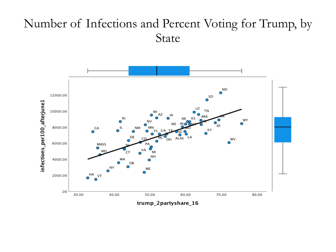#### Number of Infections and Percent Voting for Trump, by State

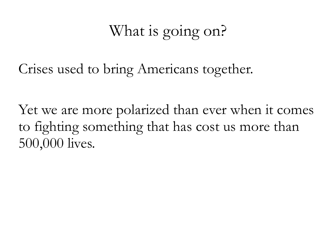## What is going on?

Crises used to bring Americans together.

Yet we are more polarized than ever when it comes to fighting something that has cost us more than 500,000 lives.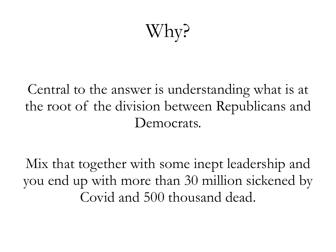

### Central to the answer is understanding what is at the root of the division between Republicans and Democrats.

Mix that together with some inept leadership and you end up with more than 30 million sickened by Covid and 500 thousand dead.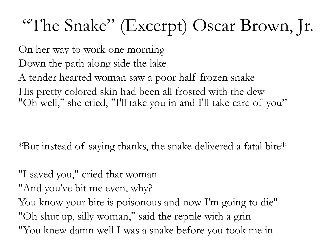# "The Snake" (Excerpt) Oscar Brown, Jr.

On her way to work one morning Down the path along side the lake A tender hearted woman saw a poor half frozen snake His pretty colored skin had been all frosted with the dew "Oh well," she cried, "I'll take you in and I'll take care of you"

\*But instead of saying thanks, the snake delivered a fatal bite\*

"I saved you," cried that woman

"And you've bit me even, why?

You know your bite is poisonous and now I'm going to die" "Oh shut up, silly woman," said the reptile with a grin "You knew damn well I was a snake before you took me in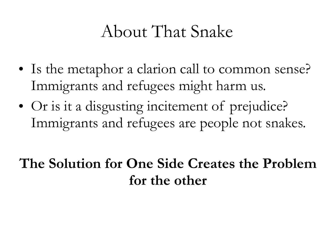# About That Snake

- Is the metaphor a clarion call to common sense? Immigrants and refugees might harm us.
- Or is it a disgusting incitement of prejudice? Immigrants and refugees are people not snakes.

### **The Solution for One Side Creates the Problem for the other**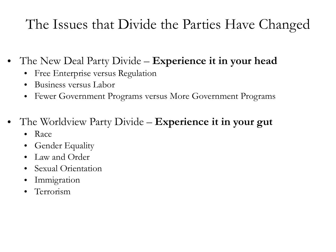### The Issues that Divide the Parties Have Changed

- The New Deal Party Divide **Experience it in your head** 
	- Free Enterprise versus Regulation
	- Business versus Labor
	- Fewer Government Programs versus More Government Programs
- The Worldview Party Divide **Experience it in your gut** 
	- Race
	- Gender Equality
	- Law and Order
	- Sexual Orientation
	- Immigration
	- Terrorism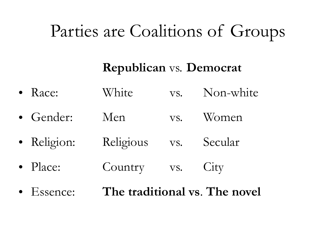# Parties are Coalitions of Groups

### **Republican** vs. **Democrat**

- Race: White vs. Non-white • Gender: Men vs. Women • Religion: Religious vs. Secular • Place: Country vs. City
- Essence: **The traditional vs**. **The novel**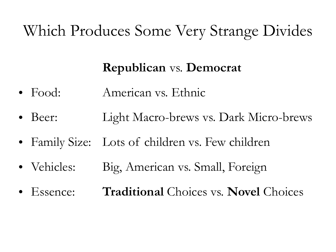### Which Produces Some Very Strange Divides

### **Republican** vs. **Democrat**

- Food: American vs. Ethnic
- Beer: Light Macro-brews vs. Dark Micro-brews
- Family Size: Lots of children vs. Few children
- Vehicles: Big, American vs. Small, Foreign
- Essence: **Traditional** Choices vs. **Novel** Choices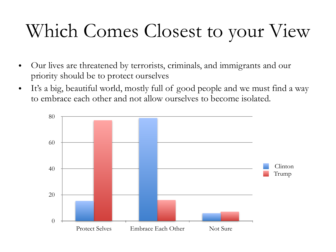# Which Comes Closest to your View

- Our lives are threatened by terrorists, criminals, and immigrants and our priority should be to protect ourselves
- It's a big, beautiful world, mostly full of good people and we must find a way to embrace each other and not allow ourselves to become isolated.

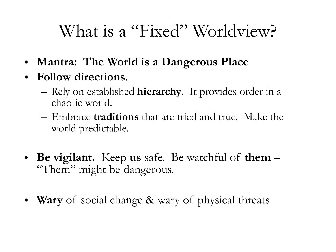# What is a "Fixed" Worldview?

- **Mantra: The World is a Dangerous Place**
- **Follow directions**.
	- Rely on established **hierarchy**. It provides order in a chaotic world.
	- Embrace **traditions** that are tried and true. Make the world predictable.
- **Be vigilant.** Keep **us** safe. Be watchful of **them**  "Them" might be dangerous.
- **Wary** of social change & wary of physical threats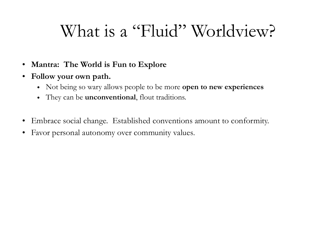## What is a "Fluid" Worldview?

- **Mantra: The World is Fun to Explore**
- **Follow your own path.**
	- Not being so wary allows people to be more **open to new experiences**
	- They can be **unconventional**, flout traditions.
- Embrace social change. Established conventions amount to conformity.
- Favor personal autonomy over community values.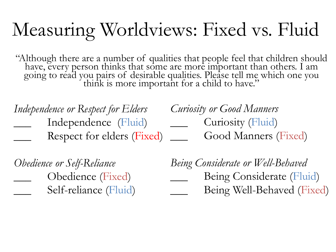# Measuring Worldviews: Fixed vs. Fluid

"Although there are a number of qualities that people feel that children should have, every person thinks that some are more important than others. I am going to read you pairs of desirable qualities. Please tell me which one you think is more important for a child to have."

*Independence or Respect for Elders* Independence (Fluid) Respect for elders (Fixed)

*Curiosity or Good Manners*  Curiosity (Fluid) Good Manners (Fixed)

*Obedience or Self-Reliance* Obedience (Fixed) Self-reliance (Fluid) *Being Considerate or Well-Behaved*  Being Considerate (Fluid) Being Well-Behaved (Fixed)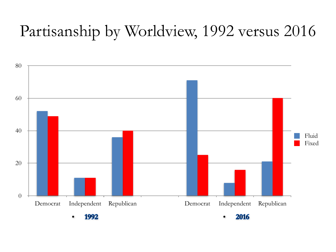### Partisanship by Worldview, 1992 versus 2016

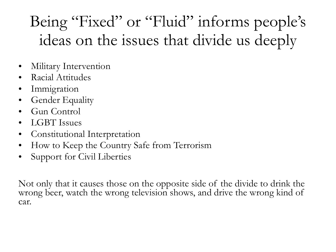# Being "Fixed" or "Fluid" informs people's ideas on the issues that divide us deeply

- Military Intervention
- Racial Attitudes
- **Immigration**
- **Gender Equality**
- Gun Control
- LGBT Issues
- Constitutional Interpretation
- How to Keep the Country Safe from Terrorism
- Support for Civil Liberties

Not only that it causes those on the opposite side of the divide to drink the wrong beer, watch the wrong television shows, and drive the wrong kind of car.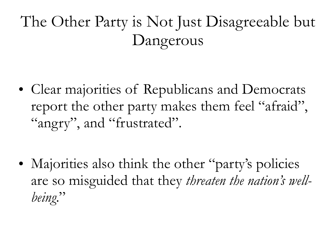# The Other Party is Not Just Disagreeable but Dangerous

• Clear majorities of Republicans and Democrats report the other party makes them feel "afraid", "angry", and "frustrated".

• Majorities also think the other "party's policies are so misguided that they *threaten the nation's wellbeing*."